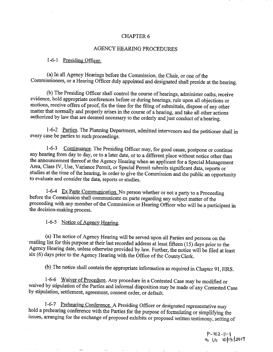### CHAPTER 6

### AGENCY HEARING PROCEDURES

### 1-6-1 Presiding Officer.

a) In all Agency Hearings before the Commission, the Chair, or one of the Commissioners, or a Hearing Officer duly appointed and designated shall preside at the hearing.

b) The Presiding Officer shall control the course of hearings, administer oaths, receive evidence, hold appropriate conferences before or during hearings, rule upon all objections or motions, receive offers of proof, fix the time for the filing of submittals, dispose of any other matter that normally and properly arises in the course of a hearing, and take all other actions authorized by law that are deemed necessary to the orderly and just conduct of a hearing.

1-6-2 Parties. The Planning Department, admitted intervenors and the petitioner shall in every case be parties to such proceedings.

1-6-3 Continuance. The Presiding Officer may, for good cause, postpone or continue any hearing from day to day, or to a later date, or to a different place without notice other than the announcement thereof at the Agency Hearing when an applicant for a Special Management Area, Class IV, Use, Variance Permit, or Special Permit submits significant data, reports or studies at the time of the hearing, in order to give the Commission and the public an opportunity to evaluate and consider the data, reports or studies.

1-6-4 Ex Parte Communication. No person whether or not a party to a Proceeding before the Commission shall communicate ex parte regarding any subject matter of the proceeding with any member of the Commission or Hearing Officer who will be a participant in the decision-making process.

1-6-5 Notice of Agency Hearing.

a) The notice of Agency Hearing will be served upon all Parties and persons on the mailing list for this purpose at their last recorded address at least fifteen (15) days prior to the Agency Hearing date, unless otherwise provided by law. Further, the notice will be filed at least six (6) days prior to the Agency Hearing with the Office of the County Clerk.

b) The notice shall contain the appropriate information as required in Chapter 91, HRS.

1-6-6 Waiver of Procedure. Any procedure in a Contested Case may be modified or waived by stipulation of the Parties and informal disposition may be made of any Contested Case by stipulation, settlement, agreement, consent order, or default.

1-6-7 Prehearing Conference. A Presiding Officer or designated representative may hold a prehearing conference with the Parties for the purpose of formulating or simplifying the issues, arranging for the exchange of proposed exhibits or proposed written testimony, setting of

> P- loz- li- <sup>1</sup> to LG 10|18*|2*017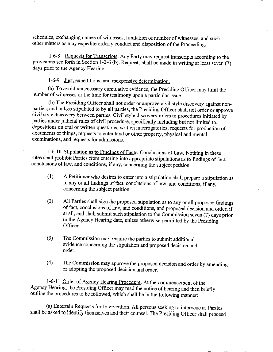schedules, exchanging names of witnesses, limitation of number of witnesses, and such other matters as may expedite orderly conduct and disposition of the Proceeding.

1-6-8 Requests for Transcripts. Any Party may request transcripts according to the provisions see forth in Section 1-2-6 (b). Requests shall be made in writing at least seven (7) days prior to the Agency Hearing.

1-6-9 Just, expeditious, and inexpensive determination.

a) To avoid unnecessary cumulative evidence, the Presiding Officer may limit the number of witnesses or the time for testimony upon a particular issue.

b) The Presiding Officer shall not order or approve civil style discovery against nonparties; and unless stipulated to by all parties, the Presiding Officer shall not order or approve civil style discovery between parties. Civil style discovery refers to procedures initiated by parties under judicial rules of civil procedure, specifically including but not limited to, depositions on oral or written questions, written interrogatories, requests for production of documents or things, requests to enter land or other property, physical and mental examinations, and requests for admissions.

1-6-10 Stipulation as to Findings of Facts, Conclusions of Law. Nothing in these rules shall prohibit Parties from entering into appropriate stipulations as to findings of fact, conclusions of law, and conditions, if any, concerning the subject petition.

- 1) A Petitioner who desires to enter into a stipulation shall prepare a stipulation as to any or all findings of fact, conclusions of law, and conditions, if any, concerning the subject petition.
- 2) All Parties shall sign the proposed stipulation as to any or all proposed findings of fact, conclusions of law, and conditions, and proposed decision and order, if at all, and shall submit such stipulation to the Commission seven( 7) days prior to the Agency Hearing date, unless otherwise permitted by the Presiding Officer.
- 3) The Commission may require the parties to submit additional evidence concerning the stipulation and proposed decision and order.
- 4) The Commission may approve the proposed decision and order by amending or adopting the proposed decision and order.

1-6-11 Order of Agency Hearing Procedure. At the commencement of the Agency Hearing, the Presiding Officer may read the notice of hearing and then briefly outline the procedures to be followed, which shall be in the following manner:

a) Entertain Requests for Intervention. All persons seeking to intervene as Parties shall be asked to identify themselves and their counsel. The Presiding Officer shall proceed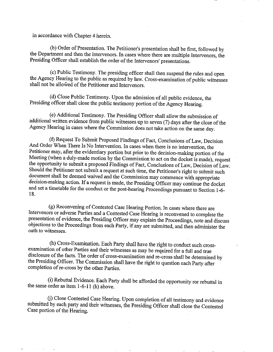in accordance with Chapter 4 herein.

b) Order of Presentation. The Petitioner's presentation shall be first, followed by the Department and then the intervenors. In cases where there are multiple Intervenors, the Presiding Officer shall establish the order of the Intervenors' presentations.

c) Public Testimony. The presiding officer shall then suspend the rules and open the Agency Hearing to the public as required by law. Cross-examination of public witnesses shall not be allowed of the Petitioner and Intervenors.

d) Close Public Testimony. Upon the admission of all public evidence, the Presiding officer shall close the public testimony portion of the Agency Hearing.

e) Additional Testimony. The Presiding Officer shall allow the submission of additional written evidence from public witnesses up to seven (7) days after the close of the Agency Hearing in cases where the Commission does not take action on the same day.

f) Request To Submit Proposed Findings of Fact, Conclusions of Law, Decision And Order When There Is No Intervention. In cases when there is no intervention, the Petitioner may, after the evidentiary portion but prior to the decision-making portion of the Meeting (when a duly-made motion by the Commission to act on the docket is made), request the opportunity to submit a proposed Findings of Fact, Conclusions of Law, Decision of Law. Should the Petitioner not submit a request at such time, the Petitioner's right to submit such document shall be deemed waived and the Commission may commence with appropriate decision-making action. If <sup>a</sup> request is made, the Presiding Officer may continue the docket and set a timetable for the conduct or the post-hearing Proceedings pursuant to Section 1-6-18.

g) Reconvening of Contested Case Hearing Portion. In cases where there are Intervenors or adverse Parties and a Contested Case Hearing is reconvened to complete the presentation of evidence, the Presiding Officer may explain the Proceedings, note and discuss objections to the Proceedings from each Party, if any are submitted, and then administer the oath to witnesses.

h) Cross-Examination. Each Party shall have the right to conduct such crossexamination of other Parties and their witnesses as may be required for a full and true disclosure of the facts. The order of cross-examination and re-cross shall be determined by the Presiding Officer. The Commission shall have the right to question each Party after completion of re-cross by the other Parties.

i) Rebuttal Evidence. Each Party shall be afforded the opportunity ror rebuttal in the same order as item  $1-6-11$  (h) above.

j) Close Contested Case Hearing. Upon completion of all testimony and evidence submitted by each party and their witnesses, the Presiding Officer shall close the Contested Case portion of the Hearing.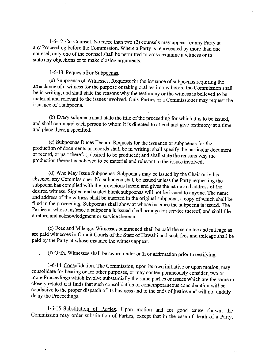1-6-12 Co-Counsel. No more than two (2) counsels may appear for any Party at any Proceeding before the Commission. Where a Party is represented by more than one counsel, only one of the counsel shall be permitted to cross- examine <sup>a</sup> witness or to state any objections or to make closing arguments.

# 1-6-13 Requests For Subpoenas.

a) Subpoenas of Witnesses. Requests for the issuance of subpoenas requiring the attendance of <sup>a</sup> witness for the purpose of taking oral testimony before the Commission shall be in writing, and shall state the reasons why the testimony or the witness is believed to be material and relevant to the issues involved. Only Parties or a Commissioner may request the issuance of <sup>a</sup> subpoena.

b) Every subpoena shall state the title of the proceeding for which it is to be issued, and shall command each person to whom it is directed to attend and give testimony at a time and place therein specified.

c) Subpoenas Duces Tecum. Requests for the issuance or subpoenas for the production of documents or records shall be in writing; shall specify the particular document or record, or part therefor, desired to be produced; and shall state the reasons why the production thereof is believed to be material and relevant to the issues involved.

d) Who May Issue Subpoenas. Subpoenas may be issued by the Chair or in his absence, any Commissioner. No subpoena shall be issued unless the Party requesting the subpoena has complied with the provisions herein and gives the name and address of the desired witness. Signed and sealed blank subpoenas will not be issued to anyone. The name and address of the witness shall be inserted in the original subpoena, a copy of which shall be filed in the proceeding. Subpoenas shall show at whose instance the subpoena is issued. The Parties at whose instance a subpoena is issued shall arrange for service thereof, and shall file a return and acknowledgment or service thereon.

e) Fees and Mileage. Witnesses summoned shall be paid the same fee and mileage as are paid witnesses in Circuit Courts of the State of Hawai'i and such fees and mileage shall be paid by the Party at whose instance the witness appear.

1) Oath. Witnesses shall be sworn under oath or affirmation prior to testifying.

1-6-14 Consolidation. The Commission, upon its own initiative or upon motion, may consolidate for hearing or for other purposes, or may contemporaneously consider, two or more Proceedings which involve substantially the same parties or issues which are the same or closely related if it finds that such consolidation or contemporaneous consideration will be conducive to the proper dispatch of its business and to the ends of justice and will not unduly delay the Proceedings.

1-6-15 Substitution of Parties. Upon motion and for good cause shown, the Commission may order substitution of Parties, except that in the case of death of <sup>a</sup> Party,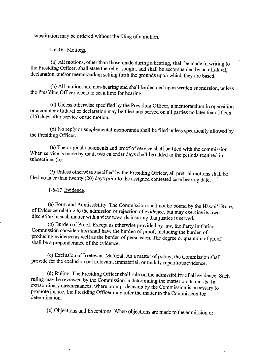substitution may be ordered without the filing of a motion.

1-6-16 Motions.

a) All motions, other than those made during a hearing, shall be made in writing to the Presiding Officer, shall state the relief sought, and shall be accompanied by an affidavit, declaration, and/or memorandum setting forth the grounds upon which they are based.

b) All motions are non- hearing and shall be decided upon written submission, unless the Presiding Officer elects to set a time for hearing.

c) Unless otherwise specified by the Presiding Officer, a memorandum in opposition or a counter affidavit or declaration may be filed and served on all parties no later than fifteen 15) days after service of the motion.

d) No reply or supplemental memoranda shall be filed unless specifically allowed by the Presiding Officer.

e) The original documents and proof of service shall be filed with the commission. When service is made by mail, two calendar days shall be added to the periods required in subsections (c).

I)Unless otherwise specified by the Presiding Officer, all pretrial motions shall be filed no later than twenty (20) days prior to the assigned contested case hearing date.

1-6-17 Evidence.

a) Form and Admissibility. The Commission shall not be bound by the Hawai`i Rules of Evidence relating to the admission or rejection of evidence, but may exercise its own discretion in such matter with <sup>a</sup> view towards insuring that justice is served.

b) Burden of Proof. Except as otherwise provided by law, the Party initiating Commission consideration shall have the burden of proof, including the burden of producing evidence as well as the burden of persuasion. The degree or quantum of proof shall be a preponderance of the evidence.

c) Exclusion of Irrelevant Material. As a matter of policy, the Commission shall provide for the exclusion or irrelevant, immaterial, or unduly repetitious evidence.

d) Ruling. The Presiding Officer shall rule on the admissibility of all evidence. Such ruling may be reviewed by the Commission in determining the matter on its merits. In extraordinary circumstances, where prompt decision by the Commission is necessary to extraordinary circumstances, where prompt decision by the Commission is necessary to promote justice, the Deceiding OCC promote justice, the Presiding Officer may refer the matter to the Commission for determination.

e) Objections and Exceptions. When objections are made to the admission or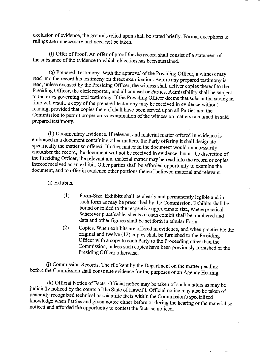exclusion of evidence, the grounds relied upon shall be stated briefly. Formal exceptions to rulings are unnecessary and need not be taken.

f) Offer of Proof. An offer of proof for the record shall consist of <sup>a</sup> statement of the substance of the evidence to which objection has been sustained.

g) Prepared Testimony. With the approval of the Presiding Officer, a witness may read into the record his testimony on direct examination. Before any prepared testimony is read, unless excused by the Presiding Officer, the witness shall deliver copies thereof to the Presiding Officer, the clerk reporter, and all counsel or Parties. Admissibility shall be subject to the rules governing oral testimony. If the Presiding Officer deems that substantial saving in time will result, a copy of the prepared testimony may be received in evidence without reading, provided that copies thereof shall have been served upon all Parties and the Commission to permit proper cross-examination of the witness on matters contained in said prepared testimony.

(h) Documentary Evidence. If relevant and material matter offered in evidence is embraced in a document containing other matters, the Party offering it shall designate specifically the matter so offered. If other matter in the document would unnecessarily encumber the record, the document will not be received in evidence, but at the discretion of the Presiding Officer, the relevant and material matter may be read into the record or copies thereof received as an exhibit. Other parties shall be afforded opportunity to examine the document, and to offer in evidence other portions thereof believed material and relevant.

i) Exhibits.

- 1) Form- Size. Exhibits shall be clearly and permanently legible and in such form as may be prescribed by the Commission. Exhibits shall be bound or folded to the respective approximate size, where practical. Wherever practicable, sheets of each exhibit shall be numbered and data and other figures shall be set forth in tabular Form.
- 2) Copies. When exhibits are offered in evidence, and when practicable the original and twelve ( 12) copies shall be furnished to the Presiding Officer with a copy to each Party to the Proceeding other than the Commission, unless such copies have been previously furnished or the Presiding Officer otherwise.

j) Commission Records. The file kept by the Department on the matter pending before the Commission shall constitute evidence for the purposes of an Agency Hearing.

k) Official Notice of Facts. Official notice may be taken of such matters as may be judicially noticed by the courts of the State of Hawai'i. Official notice may also be taken of generally recognized technical or scientific facts within the Commission's specialized<br>knowledge when Parties and given notice either before or during the hearing or the material so noticed and afforded the opportunity to contest the facts so noticed.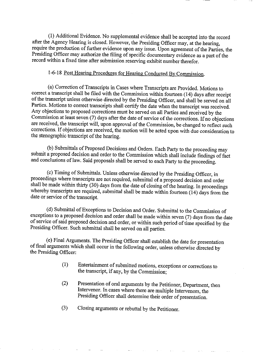1) Additional Evidence. No supplemental evidence shall be accepted into the record after the Agency Hearing is closed. However, the Presiding Officer may, at the hearing, require the production of further evidence upon any issue. Upon agreement of the Parties, the Presiding Officer may authorize the filing of specific documentary evidence as a part of the record within a fixed time after submission reserving exhibit number therefor.

## 1-6-18 Post Hearing Procedures for Hearing Conducted By Commission.

a) Correction of Transcripts in Cases where Transcripts are Provided. Motions to correct a transcript shall be filed with the Commission within fourteen (14) days after receipt of the transcript unless otherwise directed by the Presiding Officer, and shall be served on all Parties. Motions to correct transcripts shall certify the date when the transcript was received. Any objections to proposed corrections must be served on all Parties and received by the Commission at least seven (7) days after the date of service of the corrections. If no objections are received, the transcript will, upon approval of the Commission, be changed to reflect such corrections. If objections are received, the motion will be acted upon with due consideration to the stenographic transcript of the hearing.

b) Submittals of Proposed Decisions and Orders. Each Party to the proceeding may submit <sup>a</sup> proposed decision and order to the Commission which shall include findings of fact and conclusions of law. Said proposals shall be served to each Party to the proceeding.

c) Timing of Submittals. Unless otherwise directed by the Presiding Officer, in proceedings where transcripts are not required, submittal of <sup>a</sup> proposed decision and order shall be made within thirty (30) days from the date of closing of the hearing. In proceedings whereby transcripts are required, submittal shall be made within fourteen  $(14)$  days from the date or service of the transcript.

d) Submittal ofExceptions to Decision and Order. Submittal to the Commission of exceptions to a proposed decision and order shall be made within seven (7) days from the date of service of said proposed decision and order, or within such period oftime specified by the Presiding Officer. Such submittal shall be served on all parties.

e) Final Arguments. The Presiding Officer shall establish the date for presentation of final arguments which shall occur in the following order, unless otherwise directed by the Presiding Officer:

- 1) Entertainment of submitted motions, exceptions or corrections to the transcript, if any, by the Commission;
- 2) Presentation of oral arguments by the Petitioner, Department, then Intervenor. In cases where there are multiple Intervenors, the Presiding Officer shall determine their order of presentation.
- 3) Closing arguments or rebuttal by the Petitioner.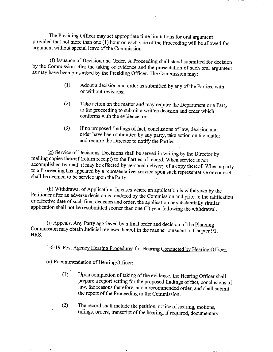The Presiding Officer may set appropriate time limitations for oral argument provided that not more than one  $(1)$  hour on each side of the Proceeding will be allowed for argument without special leave of the Commission.

f) Issuance of Decision and Order. A Proceeding shall stand submitted for decision by the Commission after the taking of evidence and the presentation of such oral argument as may have been prescribed by the Presiding Officer. The Commission may:

- 1) Adopt <sup>a</sup> decision and order as submitted by any of the Parties, with or without revisions;
- 2) Take action on the matter and may require the Department or <sup>a</sup> Party to the proceeding to submit a written decision and order which conforms with the evidence; or
- 3) If no proposed findings of fact, conclusions of law, decision and order have been submitted by any party, take action on the matter and require the Director to notify the Parties.

g) Service of Decisions. Decisions shall be served in writing by the Director by mailing copies thereof( return receipt) to the Parties of record. When service is not accomplished by mail, it may be effected by personal delivery of a copy thereof. When a party to a Proceeding has appeared by a representative, service upon such representative or counsel shall be deemed to be service upon the Party.

h) Withdrawal of Application. In cases where an application is withdrawn by the Petitioner after an adverse decision is rendered by the Commission and prior to the ratification or effective date of such final decision and order, the application or substantially similar application shall not be resubmitted sooner than one  $(1)$  year following the withdrawal.

i) Appeals. Any Party aggrieved by <sup>a</sup> final order and decision of the Planning Commission may obtain Judicial reviews thereof in the manner pursuant to Chapter 91, HRS.

1-6-19 Post Agency Hearing Procedures for Hearing Conducted by Hearing Officer.

a) Recommendation of Hearing Officer:

- 1) Upon completion of taking of the evidence, the Hearing Officer shall prepare a report setting for the proposed findings of fact, conclusions of law, the reasons therefore, and a recommended order, and shall submit the report of the Proceeding to the Commission.
- 2) The record shall include the petition, notice of hearing, motions, rulings, orders, transcript of the hearing, if required, documentary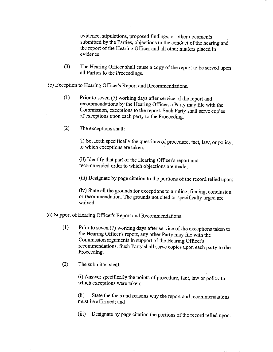evidence, stipulations, proposed findings, or other documents submitted by the Parties, objections to the conduct of the hearing and the report of the Hearing Officer and all other matters placed in evidence.

3) The Hearing Officer shall cause a copy of the report to be served upon all Parties to.the Proceedings.

b) Exception to Hearing Officer's Report and Recommendations.

- 1) Prior to seven( 7) working days after service of the report and recommendations by the Hearing Officer, a Party may file with the Commission, exceptions to the report. Such Party shall serve copies of exceptions upon each party to the Proceeding.
- 2) The exceptions shall:

i) Set forth specifically the questions of procedure, fact, law, or policy, to which exceptions are taken;

ii) Identify that part of the Hearing Officer's report and recommended order to which objections are made;

iii) Designate by page citation to the portions of the record relied upon;

iv) State all the grounds for exceptions to a ruling, finding, conclusion or recommendation. The grounds not cited or specifically urged are waived.

c) Support of Hearing Officer's Report and Recommendations.

1) Prior to seven( 7) working days after service of the exceptions taken to the Hearing Officer's report, any other Party may file with the Commission arguments in support of the Hearing Officer's recommendations. Such Party shall serve copies upon each party to the Proceeding.

2) The submittal shall:

i) Answer specifically the points of procedure, fact, law or policy to which exceptions were taken;

ii) State the facts and reasons why the report and recommendations must be affirmed; and

(iii) Designate by page citation the portions of the record relied upon.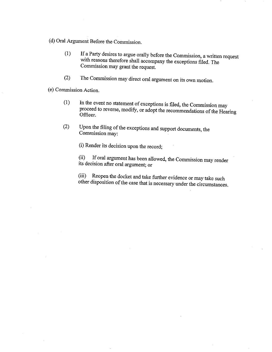d) Oral Argument Before the Commission.

- 1) If <sup>a</sup> Party desires to argue orally before the Commission, a written request with reasons therefore shall accompany the exceptions filed. The Commission may grant the request.
- 2) The Commission may direct oral argument on its own motion.

e) Commission Action.

- 1) In the event no statement of exceptions is filed, the Commission may proceed to reverse, modify, or adopt the recommendations of the Hearing Officer.
- 2) Upon the filing of the exceptions and support documents, the Commission may:

i) Render its decision upon the record;

ii) If oral argument has been allowed, the Commission may render its decision after oral argument; or

iii) Reopen the docket and take further evidence or may take such other disposition of the case that is necessary under the circumstances.